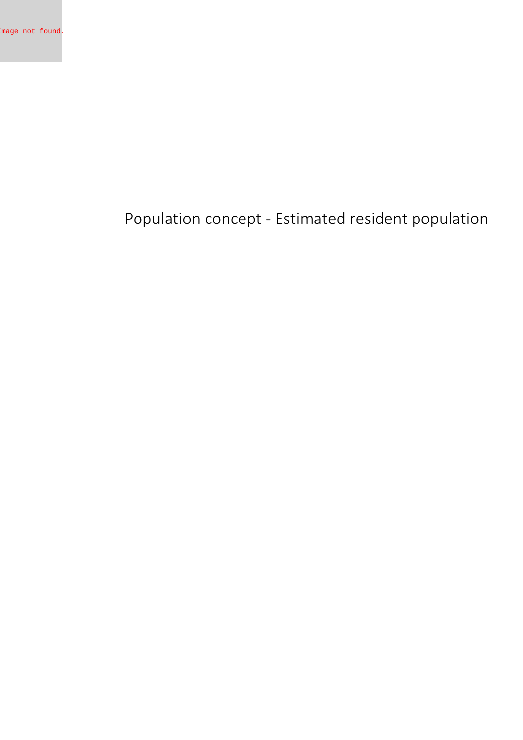**Population concept - Estimated resident population**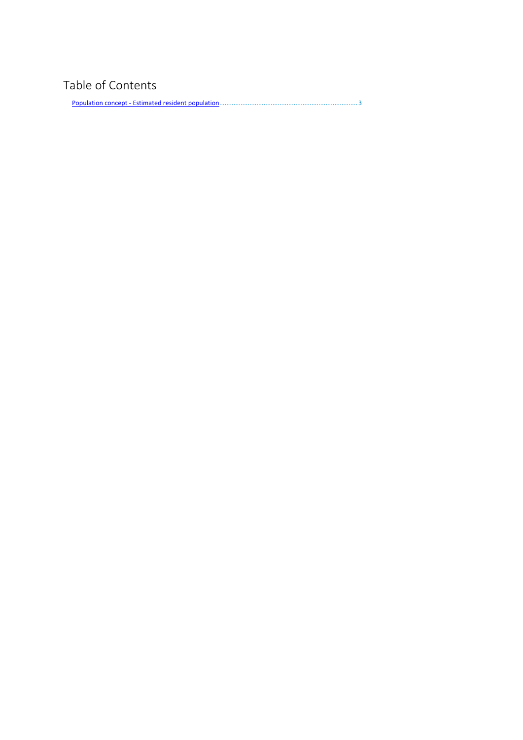## **Table of Contents**

Population concept - Estimated resident [population..............................................................................](#page-2-0) 3